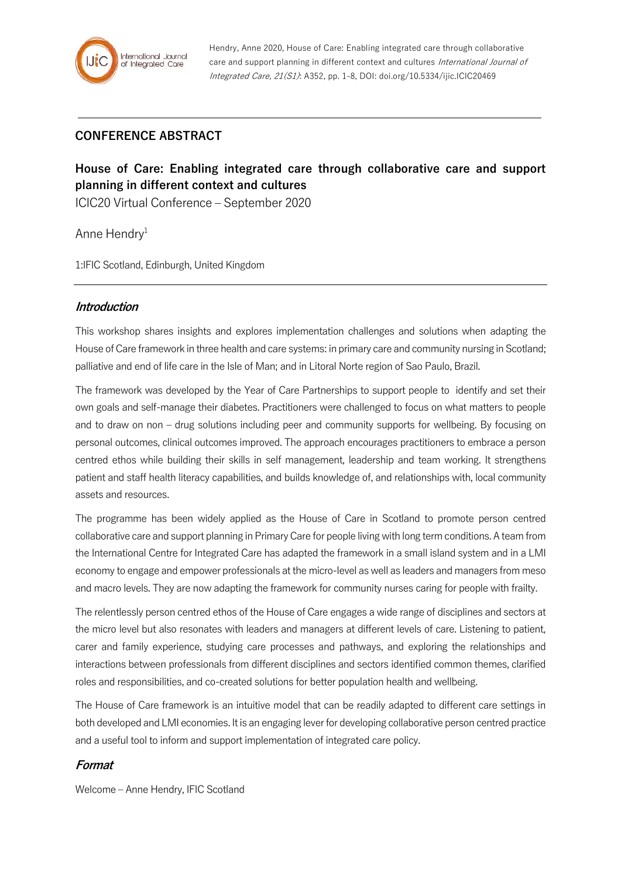Hendry, Anne 2020, House of Care: Enabling integrated care through collaborative care and support planning in different context and cultures International Journal of Integrated Care, 21(S1): A352, pp. 1-8, DOI: doi.org/10.5334/ijic.ICIC20469

# **CONFERENCE ABSTRACT**

# **House of Care: Enabling integrated care through collaborative care and support planning in different context and cultures**

ICIC20 Virtual Conference – September 2020

Anne Hendry<sup>1</sup>

1:IFIC Scotland, Edinburgh, United Kingdom

### **Introduction**

This workshop shares insights and explores implementation challenges and solutions when adapting the House of Care framework in three health and care systems: in primary care and community nursing in Scotland; palliative and end of life care in the Isle of Man; and in Litoral Norte region of Sao Paulo, Brazil.

The framework was developed by the Year of Care Partnerships to support people to identify and set their own goals and self-manage their diabetes. Practitioners were challenged to focus on what matters to people and to draw on non – drug solutions including peer and community supports for wellbeing. By focusing on personal outcomes, clinical outcomes improved. The approach encourages practitioners to embrace a person centred ethos while building their skills in self management, leadership and team working. It strengthens patient and staff health literacy capabilities, and builds knowledge of, and relationships with, local community assets and resources.

The programme has been widely applied as the House of Care in Scotland to promote person centred collaborative care and support planning in Primary Care for people living with long term conditions. A team from the International Centre for Integrated Care has adapted the framework in a small island system and in a LMI economy to engage and empower professionals at the micro-level as well as leaders and managers from meso and macro levels. They are now adapting the framework for community nurses caring for people with frailty.

The relentlessly person centred ethos of the House of Care engages a wide range of disciplines and sectors at the micro level but also resonates with leaders and managers at different levels of care. Listening to patient, carer and family experience, studying care processes and pathways, and exploring the relationships and interactions between professionals from different disciplines and sectors identified common themes, clarified roles and responsibilities, and co-created solutions for better population health and wellbeing.

The House of Care framework is an intuitive model that can be readily adapted to different care settings in both developed and LMI economies. It is an engaging lever for developing collaborative person centred practice and a useful tool to inform and support implementation of integrated care policy.

# **Format**

Welcome – Anne Hendry, IFIC Scotland